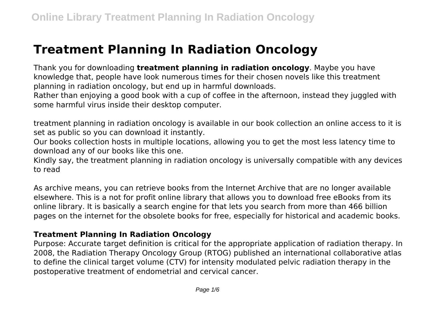# **Treatment Planning In Radiation Oncology**

Thank you for downloading **treatment planning in radiation oncology**. Maybe you have knowledge that, people have look numerous times for their chosen novels like this treatment planning in radiation oncology, but end up in harmful downloads.

Rather than enjoying a good book with a cup of coffee in the afternoon, instead they juggled with some harmful virus inside their desktop computer.

treatment planning in radiation oncology is available in our book collection an online access to it is set as public so you can download it instantly.

Our books collection hosts in multiple locations, allowing you to get the most less latency time to download any of our books like this one.

Kindly say, the treatment planning in radiation oncology is universally compatible with any devices to read

As archive means, you can retrieve books from the Internet Archive that are no longer available elsewhere. This is a not for profit online library that allows you to download free eBooks from its online library. It is basically a search engine for that lets you search from more than 466 billion pages on the internet for the obsolete books for free, especially for historical and academic books.

## **Treatment Planning In Radiation Oncology**

Purpose: Accurate target definition is critical for the appropriate application of radiation therapy. In 2008, the Radiation Therapy Oncology Group (RTOG) published an international collaborative atlas to define the clinical target volume (CTV) for intensity modulated pelvic radiation therapy in the postoperative treatment of endometrial and cervical cancer.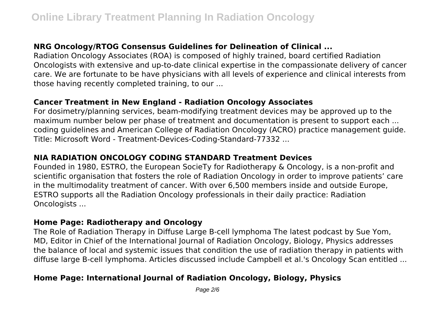## **NRG Oncology/RTOG Consensus Guidelines for Delineation of Clinical ...**

Radiation Oncology Associates (ROA) is composed of highly trained, board certified Radiation Oncologists with extensive and up-to-date clinical expertise in the compassionate delivery of cancer care. We are fortunate to be have physicians with all levels of experience and clinical interests from those having recently completed training, to our ...

### **Cancer Treatment in New England - Radiation Oncology Associates**

For dosimetry/planning services, beam-modifying treatment devices may be approved up to the maximum number below per phase of treatment and documentation is present to support each ... coding guidelines and American College of Radiation Oncology (ACRO) practice management guide. Title: Microsoft Word - Treatment-Devices-Coding-Standard-77332 ...

## **NIA RADIATION ONCOLOGY CODING STANDARD Treatment Devices**

Founded in 1980, ESTRO, the European SocieTy for Radiotherapy & Oncology, is a non-profit and scientific organisation that fosters the role of Radiation Oncology in order to improve patients' care in the multimodality treatment of cancer. With over 6,500 members inside and outside Europe, ESTRO supports all the Radiation Oncology professionals in their daily practice: Radiation Oncologists ...

#### **Home Page: Radiotherapy and Oncology**

The Role of Radiation Therapy in Diffuse Large B-cell lymphoma The latest podcast by Sue Yom, MD, Editor in Chief of the International Journal of Radiation Oncology, Biology, Physics addresses the balance of local and systemic issues that condition the use of radiation therapy in patients with diffuse large B-cell lymphoma. Articles discussed include Campbell et al.'s Oncology Scan entitled ...

## **Home Page: International Journal of Radiation Oncology, Biology, Physics**

Page 2/6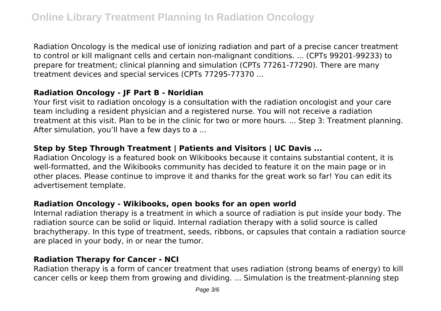Radiation Oncology is the medical use of ionizing radiation and part of a precise cancer treatment to control or kill malignant cells and certain non-malignant conditions. ... (CPTs 99201-99233) to prepare for treatment; clinical planning and simulation (CPTs 77261-77290). There are many treatment devices and special services (CPTs 77295-77370 ...

## **Radiation Oncology - JF Part B - Noridian**

Your first visit to radiation oncology is a consultation with the radiation oncologist and your care team including a resident physician and a registered nurse. You will not receive a radiation treatment at this visit. Plan to be in the clinic for two or more hours. ... Step 3: Treatment planning. After simulation, you'll have a few days to a ...

## **Step by Step Through Treatment | Patients and Visitors | UC Davis ...**

Radiation Oncology is a featured book on Wikibooks because it contains substantial content, it is well-formatted, and the Wikibooks community has decided to feature it on the main page or in other places. Please continue to improve it and thanks for the great work so far! You can edit its advertisement template.

#### **Radiation Oncology - Wikibooks, open books for an open world**

Internal radiation therapy is a treatment in which a source of radiation is put inside your body. The radiation source can be solid or liquid. Internal radiation therapy with a solid source is called brachytherapy. In this type of treatment, seeds, ribbons, or capsules that contain a radiation source are placed in your body, in or near the tumor.

#### **Radiation Therapy for Cancer - NCI**

Radiation therapy is a form of cancer treatment that uses radiation (strong beams of energy) to kill cancer cells or keep them from growing and dividing. ... Simulation is the treatment-planning step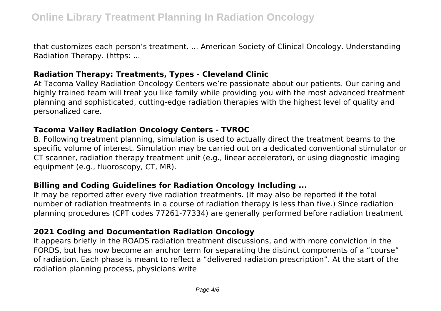that customizes each person's treatment. ... American Society of Clinical Oncology. Understanding Radiation Therapy. (https: ...

#### **Radiation Therapy: Treatments, Types - Cleveland Clinic**

At Tacoma Valley Radiation Oncology Centers we're passionate about our patients. Our caring and highly trained team will treat you like family while providing you with the most advanced treatment planning and sophisticated, cutting-edge radiation therapies with the highest level of quality and personalized care.

#### **Tacoma Valley Radiation Oncology Centers - TVROC**

B. Following treatment planning, simulation is used to actually direct the treatment beams to the specific volume of interest. Simulation may be carried out on a dedicated conventional stimulator or CT scanner, radiation therapy treatment unit (e.g., linear accelerator), or using diagnostic imaging equipment (e.g., fluoroscopy, CT, MR).

## **Billing and Coding Guidelines for Radiation Oncology Including ...**

It may be reported after every five radiation treatments. (It may also be reported if the total number of radiation treatments in a course of radiation therapy is less than five.) Since radiation planning procedures (CPT codes 77261‐77334) are generally performed before radiation treatment

## **2021 Coding and Documentation Radiation Oncology**

It appears briefly in the ROADS radiation treatment discussions, and with more conviction in the FORDS, but has now become an anchor term for separating the distinct components of a "course" of radiation. Each phase is meant to reflect a "delivered radiation prescription". At the start of the radiation planning process, physicians write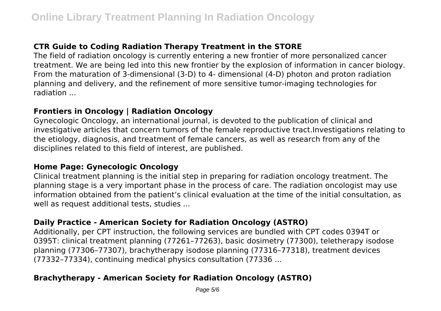## **CTR Guide to Coding Radiation Therapy Treatment in the STORE**

The field of radiation oncology is currently entering a new frontier of more personalized cancer treatment. We are being led into this new frontier by the explosion of information in cancer biology. From the maturation of 3-dimensional (3-D) to 4- dimensional (4-D) photon and proton radiation planning and delivery, and the refinement of more sensitive tumor-imaging technologies for radiation ...

## **Frontiers in Oncology | Radiation Oncology**

Gynecologic Oncology, an international journal, is devoted to the publication of clinical and investigative articles that concern tumors of the female reproductive tract.Investigations relating to the etiology, diagnosis, and treatment of female cancers, as well as research from any of the disciplines related to this field of interest, are published.

#### **Home Page: Gynecologic Oncology**

Clinical treatment planning is the initial step in preparing for radiation oncology treatment. The planning stage is a very important phase in the process of care. The radiation oncologist may use information obtained from the patient's clinical evaluation at the time of the initial consultation, as well as request additional tests, studies ...

#### **Daily Practice - American Society for Radiation Oncology (ASTRO)**

Additionally, per CPT instruction, the following services are bundled with CPT codes 0394T or 0395T: clinical treatment planning (77261–77263), basic dosimetry (77300), teletherapy isodose planning (77306–77307), brachytherapy isodose planning (77316–77318), treatment devices (77332–77334), continuing medical physics consultation (77336 ...

## **Brachytherapy - American Society for Radiation Oncology (ASTRO)**